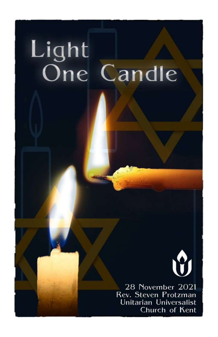# Light One Candle



28 November 2021 Rev. Steven Protzman Unitarian Universalist Church of Kent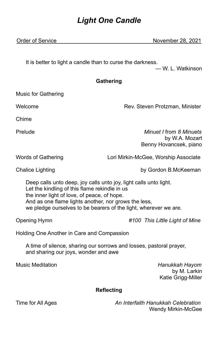# *Light One Candle*

Order of Service November 28, 2021

It is better to light a candle than to curse the darkness.

— W. L. Watkinson

# **Gathering**

Music for Gathering

Welcome **Rev. Steven Protzman, Minister** Rev. Steven Protzman, Minister

Chime

Prelude *Minuet I* from *8 Minuets*

by W.A. Mozart Benny Hovancsek, piano

Words of Gathering **Lori Mirkin-McGee, Worship Associate** 

Chalice Lighting by Gordon B.McKeeman

Deep calls unto deep, joy calls unto joy, light calls unto light. Let the kindling of this flame rekindle in us the inner light of love, of peace, of hope. And as one flame lights another, nor grows the less, we pledge ourselves to be bearers of the light, wherever we are.

Opening Hymn *#100 This Little Light of Mine*

Holding One Another in Care and Compassion

A time of silence, sharing our sorrows and losses, pastoral prayer, and sharing our joys, wonder and awe

Music Meditation *Hanukkah Hayom* by M. Larkin Katie Grigg-Miller

# **Reflecting**

Time for All Ages *An Interfaith Hanukkah Celebration* Wendy Mirkin-McGee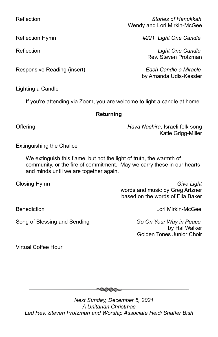Responsive Reading (insert) *Each Candle a Miracle*

Lighting a Candle

If you're attending via Zoom, you are welcome to light a candle at home.

### **Returning**

Offering *Hava Nashira*, Israeli folk song Katie Grigg-Miller

Extinguishing the Chalice

We extinguish this flame, but not the light of truth, the warmth of community, or the fire of commitment. May we carry these in our hearts and minds until we are together again.

Closing Hymn *Give Light* words and music by Greg Artzner based on the words of Ella Baker

Benediction Lori Mirkin-McGee

Song of Blessing and Sending *Go On Your Way in Peace*

by Hal Walker Golden Tones Junior Choir

Virtual Coffee Hour

*Next Sunday, December 5, 2021 A Unitarian Christmas Led Rev. Steven Protzman and Worship Associate Heidi Shaffer Bish*

<del>೦೦೦</del>೦

Reflection *Stories of Hanukkah* **Wendy and Lori Mirkin-McGee** 

Reflection Hymn *#221 Light One Candle*

Reflection *Light One Candle*  Rev. Steven Protzman

by Amanda Udis-Kessler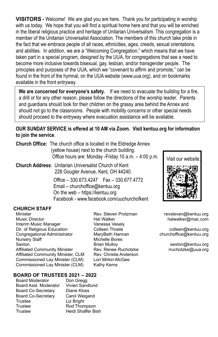**VISITORS -** Welcome! We are glad you are here. Thank you for participating in worship with us today. We hope that you will find a spiritual home here and that you will be enriched in the liberal religious practice and heritage of Unitarian Universalism. This congregation is a member of the Unitarian Universalist Association. The members of this church take pride in the fact that we embrace people of all races, ethnicities, ages, creeds, sexual orientations, and abilities. In addition, we are a "Welcoming Congregation," which means that we have taken part in a special program, designed by the UUA, for congregations that see a need to become more inclusive towards bisexual, gay, lesbian, and/or transgender people. The principles and purposes of the UUA, which we "covenant to affirm and promote," can be found in the front of the hymnal, on the UUA website (www.uua.org), and on bookmarks available in the front entryway.

**We are concerned for everyone's safety.** If we need to evacuate the building for a fire, a drill or for any other reason, please follow the directions of the worship leader. Parents and guardians should look for their children on the grassy area behind the Annex and should not go to the classrooms. People with mobility concerns or other special needs should proceed to the entryway where evacuation assistance will be available.

## **OUR SUNDAY SERVICE is offered at 10 AM via Zoom. Visit kentuu.org for information to join the service**.

| <b>Church Office:</b> The church office is located in the Eldredge Annex |
|--------------------------------------------------------------------------|
| (yellow house) next to the church building.                              |
| Office hours are: Monday -Friday 10 a.m. - 4:00 p.m.                     |

**Church Address**: Unitarian Universalist Church of Kent 228 Gougler Avenue, Kent, OH 44240.

> Office – 330.673.4247 Fax – 330.677.4772 Email – churchoffice@kentuu.org On the web – https://kentuu.org Facebook - www.facebook.com/uuchurchofkent

#### **CHURCH STAFF**

í

Minister Rev. Steven Protzman revsteven@kentuu.org Music Director Hal Walker halwalker@mac.com Interim Music Manager Dir. of Religious Education **Colleen Thoele** colleen Colleen Colleen Colleen Colleen Colleen Colleen Colleen Colle Congregational Administrator MaryBeth Hannan churchoffice@kentuu.org Nursery Staff Michelle Bores Sexton **Brian Mulloy Sexton @kentuu.org** Sexton Brian Mulloy Sexton **@kentuu.org** Affiliated Community Minister **Rev. Renee Ruchotzke Franchotzke** rruchotzke@uua.org Affiliated Community Minister, CLM Rev. Christie Anderson Commissioned Lay Minister (CLM) Lori Mirkin-McGee Commissioned Lay Minister (CLM) Kathy Kerns

#### **BOARD OF TRUSTEES 2021 – 2022**

Board Moderator Don Gregg Board Asst. Moderator Vivien Sandlund<br>Board Co-Secretary Diane Kloss Board Co-Secretary Board Co-Secretary Carol Weigand Trustee Liz Bright Trustee Rod Thompson Trustee Heidi Shaffer Bish

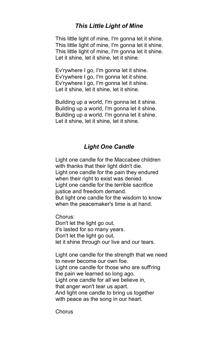# *This Little Light of Mine*

This little light of mine, I'm gonna let it shine. This little light of mine, I'm gonna let it shine. This little light of mine, I'm gonna let it shine. Let it shine, let it shine, let it shine.

Ev'rywhere I go, I'm gonna let it shine. Ev'rywhere I go, I'm gonna let it shine. Ev'rywhere I go, I'm gonna let it shine. Let it shine, let it shine, let it shine.

Building up a world, I'm gonna let it shine. Building up a world, I'm gonna let it shine. Building up a world, I'm gonna let it shine. Let it shine, let it shine, let it shine.

# *Light One Candle*

Light one candle for the Maccabee children with thanks that their light didn't die. Light one candle for the pain they endured when their right to exist was denied. Light one candle for the terrible sacrifice justice and freedom demand. But light one candle for the wisdom to know when the peacemaker's time is at hand.

Chorus:

Don't let the light go out, it's lasted for so many years. Don't let the light go out, let it shine through our live and our tears.

Light one candle for the strength that we need to never become our own foe. Light one candle for those who are suff'ring the pain we learned so long ago. Light one candle for all we believe in, that anger won't tear us apart. And light one candle to bring us together with peace as the song in our heart.

Chorus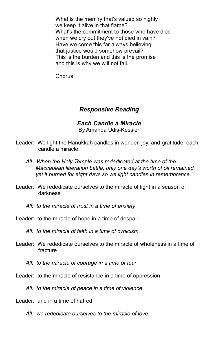What is the mem'ry that's valued so highly we keep it alive in that flame? What's the commitment to those who have died when we cry out they've not died in vain? Have we come this far always believing that justice would somehow prevail? This is the burden and this is the promise and this is why we will not fail.

Chorus

# *Responsive Reading*

#### *Each Candle a Miracle* B[y Amanda Udis-Kessler](https://www.uua.org/offices/people/amanda-udis-kessler)

- Leader: We light the Hanukkah candles in wonder, joy, and gratitude, each candle a miracle.
	- *All: When the Holy Temple was rededicated at the time of the Maccabean liberation battle, only one day's worth of oil remained, yet it burned for eight days so we light candles in remembrance.*
- Leader: We rededicate ourselves to the miracle of light in a season of darkness
	- *All: to the miracle of trust in a time of anxiety*
- Leader: to the miracle of hope in a time of despair
	- *All: to the miracle of faith in a time of cynicism.*
- Leader: We rededicate ourselves to the miracle of wholeness in a time of fracture
	- *All: to the miracle of courage in a time of fear*
- Leader: to the miracle of resistance in a time of oppression
	- *All: to the miracle of peace in a time of violence*
- Leader: and in a time of hatred
	- *All: we rededicate ourselves to the miracle of love.*